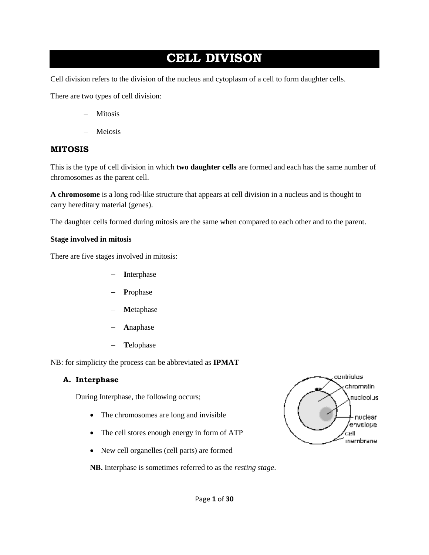# **CELL DIVISON**

Cell division refers to the division of the nucleus and cytoplasm of a cell to form daughter cells.

There are two types of cell division:

- Mitosis
- Meiosis

#### **MITOSIS**

This is the type of cell division in which **two daughter cells** are formed and each has the same number of chromosomes as the parent cell.

**A chromosome** is a long rod-like structure that appears at cell division in a nucleus and is thought to carry hereditary material (genes).

The daughter cells formed during mitosis are the same when compared to each other and to the parent.

#### **Stage involved in mitosis**

There are five stages involved in mitosis:

- **I**nterphase
- **P**rophase
- **M**etaphase
- **A**naphase
- **T**elophase

NB: for simplicity the process can be abbreviated as **IPMAT**

#### **A. Interphase**

During Interphase, the following occurs;

- The chromosomes are long and invisible
- The cell stores enough energy in form of ATP
- New cell organelles (cell parts) are formed

contrigles chromatin aublooius -nuclear /envelope. cæll) membrane

**NB.** Interphase is sometimes referred to as the *resting stage*.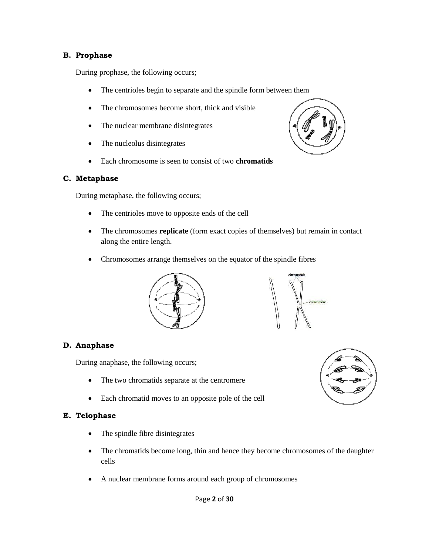#### **B. Prophase**

During prophase, the following occurs;

- The centrioles begin to separate and the spindle form between them
- The chromosomes become short, thick and visible
- The nuclear membrane disintegrates
- The nucleolus disintegrates
- Each chromosome is seen to consist of two **chromatids**

#### **C. Metaphase**

During metaphase, the following occurs;

- The centrioles move to opposite ends of the cell
- The chromosomes **replicate** (form exact copies of themselves) but remain in contact along the entire length.
- Chromosomes arrange themselves on the equator of the spindle fibres





#### **D. Anaphase**

During anaphase, the following occurs;

- The two chromatids separate at the centromere
- Each chromatid moves to an opposite pole of the cell

#### **E. Telophase**

- The spindle fibre disintegrates
- The chromatids become long, thin and hence they become chromosomes of the daughter cells
- A nuclear membrane forms around each group of chromosomes



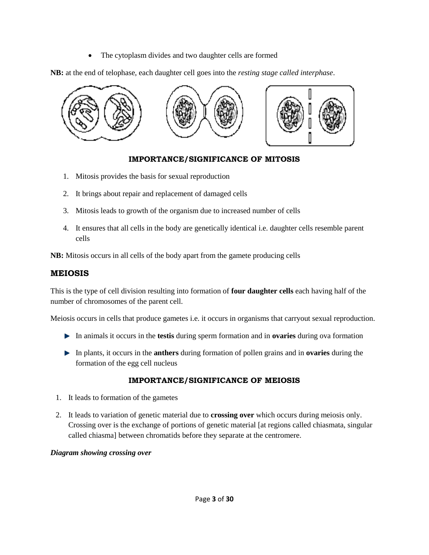• The cytoplasm divides and two daughter cells are formed

**NB:** at the end of telophase, each daughter cell goes into the *resting stage called interphase*.



### **IMPORTANCE/SIGNIFICANCE OF MITOSIS**

- 1. Mitosis provides the basis for sexual reproduction
- 2. It brings about repair and replacement of damaged cells
- 3. Mitosis leads to growth of the organism due to increased number of cells
- 4. It ensures that all cells in the body are genetically identical i.e. daughter cells resemble parent cells

**NB:** Mitosis occurs in all cells of the body apart from the gamete producing cells

### **MEIOSIS**

This is the type of cell division resulting into formation of **four daughter cells** each having half of the number of chromosomes of the parent cell.

Meiosis occurs in cells that produce gametes i.e. it occurs in organisms that carryout sexual reproduction.

- In animals it occurs in the **testis** during sperm formation and in **ovaries** during ova formation
- In plants, it occurs in the **anthers** during formation of pollen grains and in **ovaries** during the formation of the egg cell nucleus

### **IMPORTANCE/SIGNIFICANCE OF MEIOSIS**

- 1. It leads to formation of the gametes
- 2. It leads to variation of genetic material due to **crossing over** which occurs during meiosis only. Crossing over is the exchange of portions of genetic material [at regions called chiasmata, singular called chiasma] between chromatids before they separate at the centromere.

### *Diagram showing crossing over*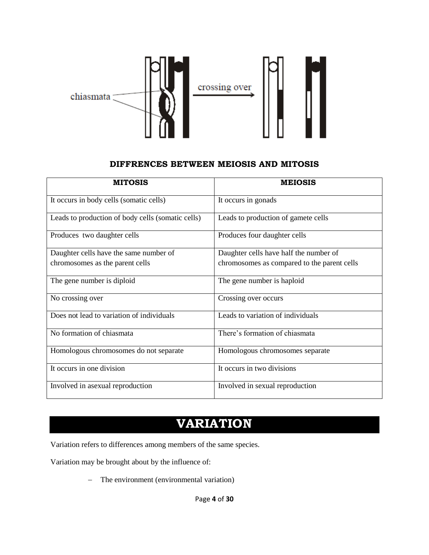

#### **DIFFRENCES BETWEEN MEIOSIS AND MITOSIS**

| <b>MITOSIS</b>                                    | <b>MEIOSIS</b>                              |
|---------------------------------------------------|---------------------------------------------|
| It occurs in body cells (somatic cells)           | It occurs in gonads                         |
| Leads to production of body cells (somatic cells) | Leads to production of gamete cells         |
| Produces two daughter cells                       | Produces four daughter cells                |
| Daughter cells have the same number of            | Daughter cells have half the number of      |
| chromosomes as the parent cells                   | chromosomes as compared to the parent cells |
| The gene number is diploid                        | The gene number is haploid                  |
| No crossing over                                  | Crossing over occurs                        |
| Does not lead to variation of individuals         | Leads to variation of individuals           |
| No formation of chiasmata                         | There's formation of chiasmata              |
| Homologous chromosomes do not separate            | Homologous chromosomes separate             |
| It occurs in one division                         | It occurs in two divisions                  |
| Involved in asexual reproduction                  | Involved in sexual reproduction             |

# **VARIATION**

Variation refers to differences among members of the same species.

Variation may be brought about by the influence of:

- The environment (environmental variation)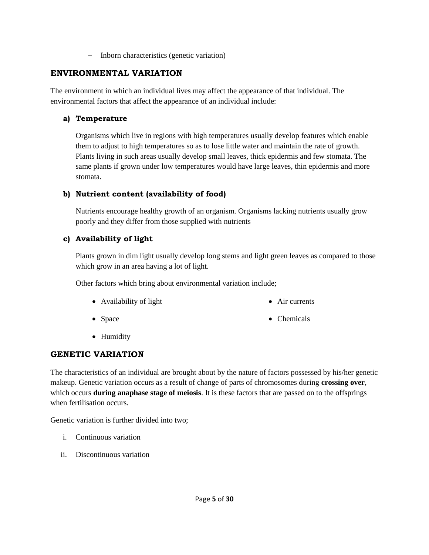- Inborn characteristics (genetic variation)

### **ENVIRONMENTAL VARIATION**

The environment in which an individual lives may affect the appearance of that individual. The environmental factors that affect the appearance of an individual include:

### **a) Temperature**

Organisms which live in regions with high temperatures usually develop features which enable them to adjust to high temperatures so as to lose little water and maintain the rate of growth. Plants living in such areas usually develop small leaves, thick epidermis and few stomata. The same plants if grown under low temperatures would have large leaves, thin epidermis and more stomata.

### **b) Nutrient content (availability of food)**

Nutrients encourage healthy growth of an organism. Organisms lacking nutrients usually grow poorly and they differ from those supplied with nutrients

### **c) Availability of light**

Plants grown in dim light usually develop long stems and light green leaves as compared to those which grow in an area having a lot of light.

Other factors which bring about environmental variation include;

Availability of light

• Air currents

• Space

• Chemicals

• Humidity

### **GENETIC VARIATION**

The characteristics of an individual are brought about by the nature of factors possessed by his/her genetic makeup. Genetic variation occurs as a result of change of parts of chromosomes during **crossing over**, which occurs **during anaphase stage of meiosis**. It is these factors that are passed on to the offsprings when fertilisation occurs.

Genetic variation is further divided into two;

- i. Continuous variation
- ii. Discontinuous variation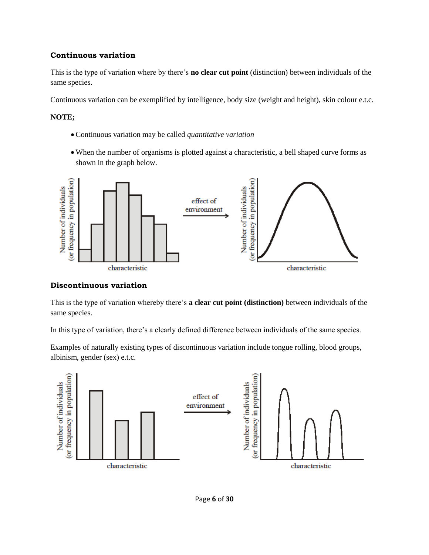#### **Continuous variation**

This is the type of variation where by there's **no clear cut point** (distinction) between individuals of the same species.

Continuous variation can be exemplified by intelligence, body size (weight and height), skin colour e.t.c.

#### **NOTE;**

- Continuous variation may be called *quantitative variation*
- When the number of organisms is plotted against a characteristic, a bell shaped curve forms as shown in the graph below.



#### **Discontinuous variation**

This is the type of variation whereby there's **a clear cut point (distinction)** between individuals of the same species.

In this type of variation, there's a clearly defined difference between individuals of the same species.

Examples of naturally existing types of discontinuous variation include tongue rolling, blood groups, albinism, gender (sex) e.t.c.

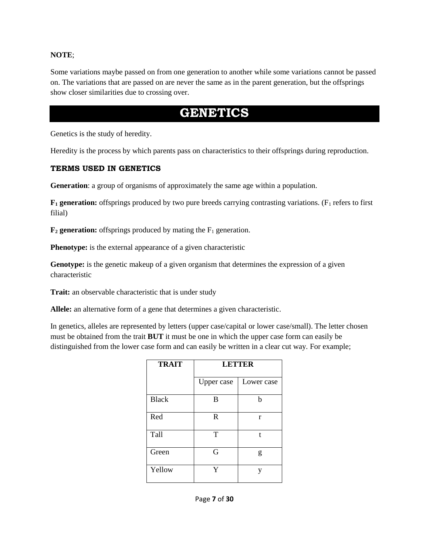#### **NOTE**;

Some variations maybe passed on from one generation to another while some variations cannot be passed on. The variations that are passed on are never the same as in the parent generation, but the offsprings show closer similarities due to crossing over.

## **GENETICS**

Genetics is the study of heredity.

Heredity is the process by which parents pass on characteristics to their offsprings during reproduction.

#### **TERMS USED IN GENETICS**

**Generation**: a group of organisms of approximately the same age within a population.

 $\mathbf{F}_1$  **generation:** offsprings produced by two pure breeds carrying contrasting variations. ( $F_1$  refers to first filial)

 $\mathbf{F}_2$  **generation:** offsprings produced by mating the  $F_1$  generation.

**Phenotype:** is the external appearance of a given characteristic

**Genotype:** is the genetic makeup of a given organism that determines the expression of a given characteristic

**Trait:** an observable characteristic that is under study

**Allele:** an alternative form of a gene that determines a given characteristic.

In genetics, alleles are represented by letters (upper case/capital or lower case/small). The letter chosen must be obtained from the trait **BUT** it must be one in which the upper case form can easily be distinguished from the lower case form and can easily be written in a clear cut way. For example;

| <b>TRAIT</b> | <b>LETTER</b> |            |
|--------------|---------------|------------|
|              | Upper case    | Lower case |
| <b>Black</b> | B             | h          |
| Red          | R             | r          |
| Tall         | T             | t          |
| Green        | G             | g          |
| Yellow       | Y             | V          |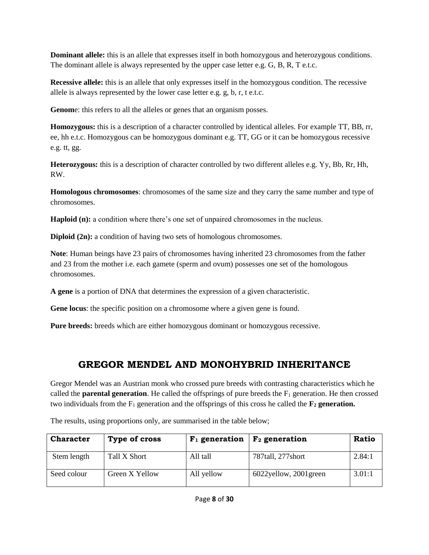**Dominant allele:** this is an allele that expresses itself in both homozygous and heterozygous conditions. The dominant allele is always represented by the upper case letter e.g. G, B, R, T e.t.c.

**Recessive allele:** this is an allele that only expresses itself in the homozygous condition. The recessive allele is always represented by the lower case letter e.g. g, b, r, t e.t.c.

**Genom**e: this refers to all the alleles or genes that an organism posses.

**Homozygous:** this is a description of a character controlled by identical alleles. For example TT, BB, rr, ee, hh e.t.c. Homozygous can be homozygous dominant e.g. TT, GG or it can be homozygous recessive e.g. tt, gg.

**Heterozygous:** this is a description of character controlled by two different alleles e.g. Yy, Bb, Rr, Hh, RW.

**Homologous chromosomes**: chromosomes of the same size and they carry the same number and type of chromosomes.

**Haploid (n):** a condition where there's one set of unpaired chromosomes in the nucleus.

**Diploid (2n):** a condition of having two sets of homologous chromosomes.

**Note**: Human beings have 23 pairs of chromosomes having inherited 23 chromosomes from the father and 23 from the mother i.e. each gamete (sperm and ovum) possesses one set of the homologous chromosomes.

**A gene** is a portion of DNA that determines the expression of a given characteristic.

**Gene locus**: the specific position on a chromosome where a given gene is found.

**Pure breeds:** breeds which are either homozygous dominant or homozygous recessive.

### **GREGOR MENDEL AND MONOHYBRID INHERITANCE**

Gregor Mendel was an Austrian monk who crossed pure breeds with contrasting characteristics which he called the **parental generation**. He called the offsprings of pure breeds the  $F_1$  generation. He then crossed two individuals from the  $F_1$  generation and the offsprings of this cross he called the  $\mathbf{F}_2$  generation.

**Character**  $\vert$  Type of cross  $\vert$  F<sub>1</sub> generation  $\vert$  F<sub>2</sub> generation  $\vert$  Ratio Stem length Tall X Short All tall 787tall, 277short 2.84:1 Seed colour Green X Yellow All yellow 6022yellow, 2001green 3.01:1

The results, using proportions only, are summarised in the table below;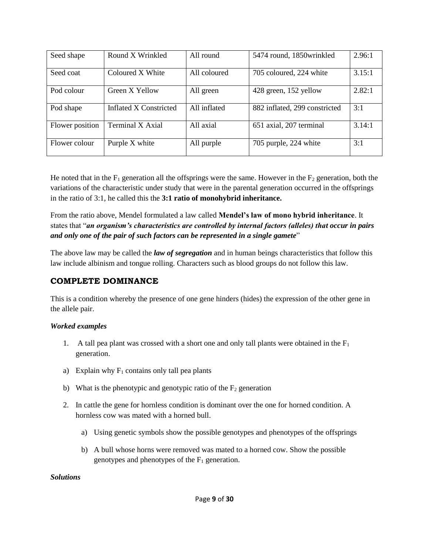| Seed shape      | Round X Wrinkled        | All round    | 5474 round, 1850 wrinkled     | 2.96:1 |
|-----------------|-------------------------|--------------|-------------------------------|--------|
|                 |                         |              |                               |        |
| Seed coat       | Coloured X White        | All coloured | 705 coloured, 224 white       | 3.15:1 |
|                 |                         |              |                               |        |
| Pod colour      | Green X Yellow          | All green    | 428 green, 152 yellow         | 2.82:1 |
|                 |                         |              |                               |        |
| Pod shape       | Inflated X Constricted  | All inflated | 882 inflated, 299 constricted | 3:1    |
|                 |                         |              |                               |        |
| Flower position | <b>Terminal X Axial</b> | All axial    | 651 axial, 207 terminal       | 3.14:1 |
|                 |                         |              |                               |        |
| Flower colour   | Purple X white          | All purple   | 705 purple, 224 white         | 3:1    |
|                 |                         |              |                               |        |

He noted that in the  $F_1$  generation all the offsprings were the same. However in the  $F_2$  generation, both the variations of the characteristic under study that were in the parental generation occurred in the offsprings in the ratio of 3:1, he called this the **3:1 ratio of monohybrid inheritance.**

From the ratio above, Mendel formulated a law called **Mendel's law of mono hybrid inheritance**. It states that "*an organism's characteristics are controlled by internal factors (alleles) that occur in pairs and only one of the pair of such factors can be represented in a single gamete*"

The above law may be called the *law of segregation* and in human beings characteristics that follow this law include albinism and tongue rolling. Characters such as blood groups do not follow this law.

### **COMPLETE DOMINANCE**

This is a condition whereby the presence of one gene hinders (hides) the expression of the other gene in the allele pair.

### *Worked examples*

- 1. A tall pea plant was crossed with a short one and only tall plants were obtained in the  $F_1$ generation.
- a) Explain why  $F_1$  contains only tall pea plants
- b) What is the phenotypic and genotypic ratio of the  $F_2$  generation
- 2. In cattle the gene for hornless condition is dominant over the one for horned condition. A hornless cow was mated with a horned bull.
	- a) Using genetic symbols show the possible genotypes and phenotypes of the offsprings
	- b) A bull whose horns were removed was mated to a horned cow. Show the possible genotypes and phenotypes of the  $F_1$  generation.

#### *Solutions*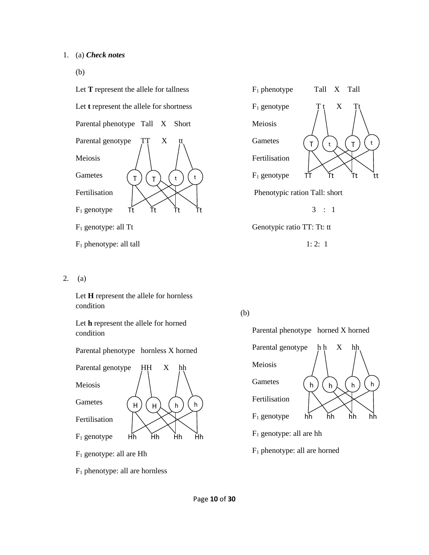(b)



- F<sup>1</sup> phenotype: all tall
- 2. (a)

Let **H** represent the allele for hornless condition

Let **h** represent the allele for horned condition



F<sup>1</sup> genotype: all are Hh

F<sup>1</sup> phenotype: all are hornless



Genotypic ratio TT: Tt: tt

 $1: 2: 1$ 

(b)

Parental phenotype horned X horned



F<sup>1</sup> phenotype: all are horned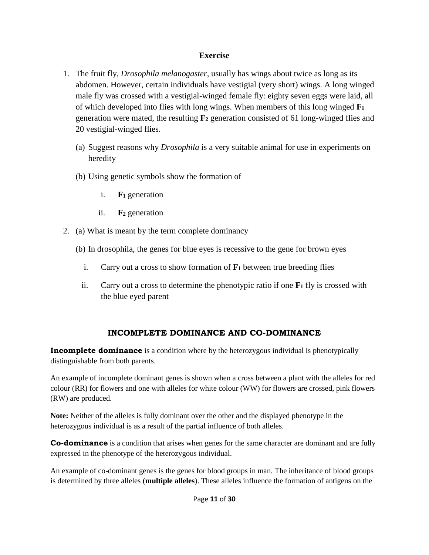### **Exercise**

- 1. The fruit fly, *Drosophila melanogaster*, usually has wings about twice as long as its abdomen. However, certain individuals have vestigial (very short) wings. A long winged male fly was crossed with a vestigial-winged female fly: eighty seven eggs were laid, all of which developed into flies with long wings. When members of this long winged **F<sup>1</sup>** generation were mated, the resulting **F<sup>2</sup>** generation consisted of 61 long-winged flies and 20 vestigial-winged flies.
	- (a) Suggest reasons why *Drosophila* is a very suitable animal for use in experiments on heredity
	- (b) Using genetic symbols show the formation of
		- i. **F<sup>1</sup>** generation
		- ii. **F<sup>2</sup>** generation
- 2. (a) What is meant by the term complete dominancy
	- (b) In drosophila, the genes for blue eyes is recessive to the gene for brown eyes
		- i. Carry out a cross to show formation of **F<sup>1</sup>** between true breeding flies
		- ii. Carry out a cross to determine the phenotypic ratio if one  $\mathbf{F}_1$  fly is crossed with the blue eyed parent

### **INCOMPLETE DOMINANCE AND CO-DOMINANCE**

**Incomplete dominance** is a condition where by the heterozygous individual is phenotypically distinguishable from both parents.

An example of incomplete dominant genes is shown when a cross between a plant with the alleles for red colour (RR) for flowers and one with alleles for white colour (WW) for flowers are crossed, pink flowers (RW) are produced.

**Note:** Neither of the alleles is fully dominant over the other and the displayed phenotype in the heterozygous individual is as a result of the partial influence of both alleles.

**Co-dominance** is a condition that arises when genes for the same character are dominant and are fully expressed in the phenotype of the heterozygous individual.

An example of co-dominant genes is the genes for blood groups in man. The inheritance of blood groups is determined by three alleles (**multiple alleles**). These alleles influence the formation of antigens on the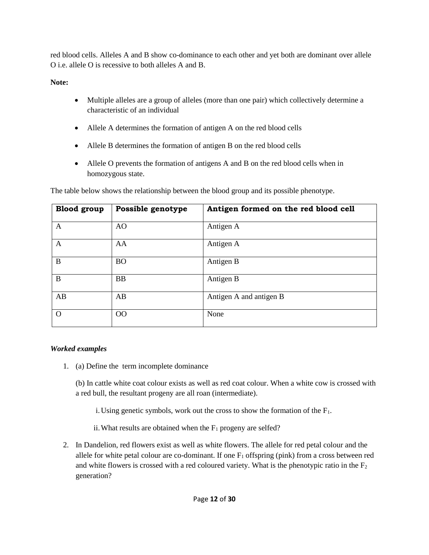red blood cells. Alleles A and B show co-dominance to each other and yet both are dominant over allele O i.e. allele O is recessive to both alleles A and B.

**Note:**

- Multiple alleles are a group of alleles (more than one pair) which collectively determine a characteristic of an individual
- Allele A determines the formation of antigen A on the red blood cells
- Allele B determines the formation of antigen B on the red blood cells
- Allele O prevents the formation of antigens A and B on the red blood cells when in homozygous state.

| <b>Blood</b> group | Possible genotype | Antigen formed on the red blood cell |
|--------------------|-------------------|--------------------------------------|
| A                  | AO                | Antigen A                            |
| A                  | AA                | Antigen A                            |
| B                  | <b>BO</b>         | Antigen B                            |
| B                  | <b>BB</b>         | Antigen B                            |
| AB                 | AB                | Antigen A and antigen B              |
| $\Omega$           | 00                | None                                 |

The table below shows the relationship between the blood group and its possible phenotype.

### *Worked examples*

1. (a) Define the term incomplete dominance

(b) In cattle white coat colour exists as well as red coat colour. When a white cow is crossed with a red bull, the resultant progeny are all roan (intermediate).

i. Using genetic symbols, work out the cross to show the formation of the  $F_1$ .

- ii. What results are obtained when the  $F_1$  progeny are selfed?
- 2. In Dandelion, red flowers exist as well as white flowers. The allele for red petal colour and the allele for white petal colour are co-dominant. If one  $F_1$  offspring (pink) from a cross between red and white flowers is crossed with a red coloured variety. What is the phenotypic ratio in the  $F_2$ generation?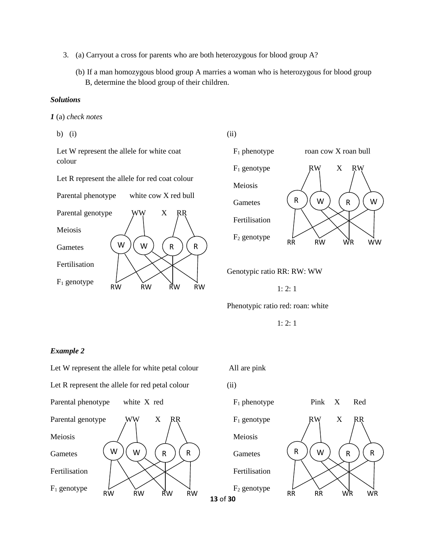- 3. (a) Carryout a cross for parents who are both heterozygous for blood group A?
	- (b) If a man homozygous blood group A marries a woman who is heterozygous for blood group B, determine the blood group of their children.

#### *Solutions*

*1* (a) *check notes* 

b) (i)

Let W represent the allele for white coat colour

Let R represent the allele for red coat colour

Parental phenotype white cow X red bull



(ii)



Genotypic ratio RR: RW: WW

1: 2: 1

Phenotypic ratio red: roan: white

1: 2: 1

#### *Example 2*

Let W represent the allele for white petal colour Let R represent the allele for red petal colour Parental phenotype white X red Parental genotype WW X RR Meiosis **Gametes** Fertilisation  $F_1$  genotype RW RW RW RW  $W$   $)\left(\begin{array}{c} W\end{array}\right)$   $\left(\begin{array}{c} R\end{array}\right)$   $\left(\begin{array}{c} R\end{array}\right)$ 

All are pink

(ii)

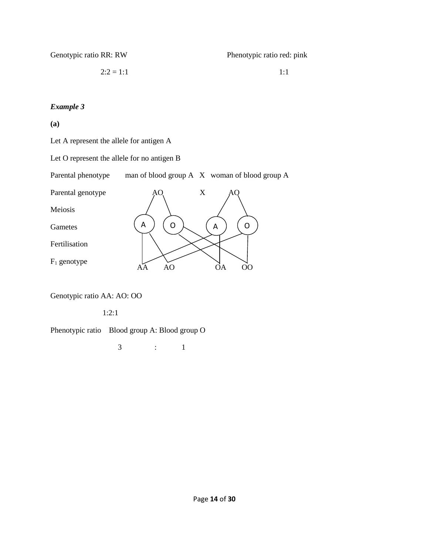Genotypic ratio RR: RW

Phenotypic ratio red: pink

 $2:2 = 1:1$ 

1:1

#### *Example 3*

**(a)**

Let A represent the allele for antigen A

Let O represent the allele for no antigen B

Parental phenotype man of blood group A X woman of blood group A



Genotypic ratio AA: AO: OO

1:2:1

Phenotypic ratio Blood group A: Blood group O

3 : 1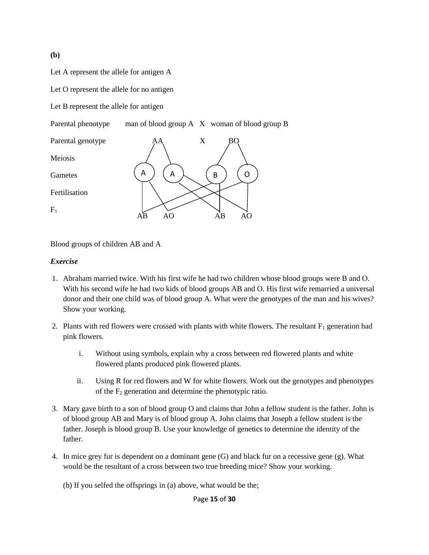**(b)** 

Let A represent the allele for antigen A

Let O represent the allele for no antigen

Let B represent the allele for antigen

Parental phenotype man of blood group A X woman of blood group B



Blood groups of children AB and A

#### *Exercise*

- 1. Abraham married twice. With his first wife he had two children whose blood groups were B and O. With his second wife he had two kids of blood groups AB and O. His first wife remarried a universal donor and their one child was of blood group A. What were the genotypes of the man and his wives? Show your working.
- 2. Plants with red flowers were crossed with plants with white flowers. The resultant  $F_1$  generation had pink flowers.
	- i. Without using symbols, explain why a cross between red flowered plants and white flowered plants produced pink flowered plants.
	- ii. Using R for red flowers and W for white flowers. Work out the genotypes and phenotypes of the  $F_2$  generation and determine the phenotypic ratio.
- 3. Mary gave birth to a son of blood group O and claims that John a fellow student is the father. John is of blood group AB and Mary is of blood group A. John claims that Joseph a fellow student is the father. Joseph is blood group B. Use your knowledge of genetics to determine the identity of the father.
- 4. In mice grey fur is dependent on a dominant gene (G) and black fur on a recessive gene (g). What would be the resultant of a cross between two true breeding mice? Show your working.
	- (b) If you selfed the offsprings in (a) above, what would be the;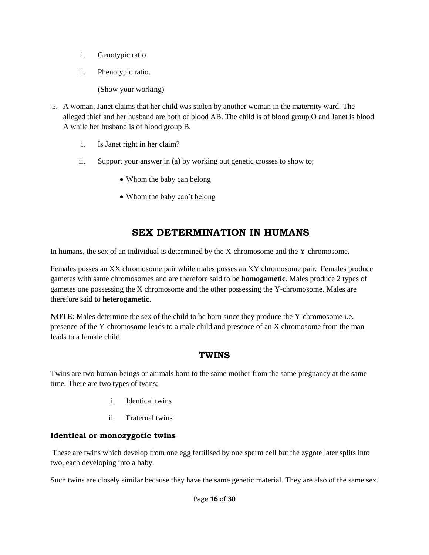- i. Genotypic ratio
- ii. Phenotypic ratio.

(Show your working)

- 5. A woman, Janet claims that her child was stolen by another woman in the maternity ward. The alleged thief and her husband are both of blood AB. The child is of blood group O and Janet is blood A while her husband is of blood group B.
	- i. Is Janet right in her claim?
	- ii. Support your answer in (a) by working out genetic crosses to show to;
		- Whom the baby can belong
		- Whom the baby can't belong

### **SEX DETERMINATION IN HUMANS**

In humans, the sex of an individual is determined by the X-chromosome and the Y-chromosome.

Females posses an XX chromosome pair while males posses an XY chromosome pair. Females produce gametes with same chromosomes and are therefore said to be **homogametic**. Males produce 2 types of gametes one possessing the X chromosome and the other possessing the Y-chromosome. Males are therefore said to **heterogametic**.

**NOTE**: Males determine the sex of the child to be born since they produce the Y-chromosome i.e. presence of the Y-chromosome leads to a male child and presence of an X chromosome from the man leads to a female child.

### **TWINS**

Twins are two human beings or animals born to the same mother from the same pregnancy at the same time. There are two types of twins;

- i. Identical twins
- ii. Fraternal twins

### **Identical or monozygotic twins**

These are twins which develop from one egg fertilised by one sperm cell but the zygote later splits into two, each developing into a baby.

Such twins are closely similar because they have the same genetic material. They are also of the same sex.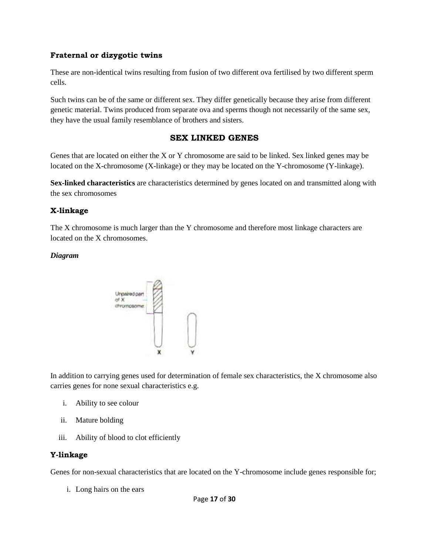#### **Fraternal or dizygotic twins**

These are non-identical twins resulting from fusion of two different ova fertilised by two different sperm cells.

Such twins can be of the same or different sex. They differ genetically because they arise from different genetic material. Twins produced from separate ova and sperms though not necessarily of the same sex, they have the usual family resemblance of brothers and sisters.

#### **SEX LINKED GENES**

Genes that are located on either the X or Y chromosome are said to be linked. Sex linked genes may be located on the X-chromosome (X-linkage) or they may be located on the Y-chromosome (Y-linkage).

**Sex-linked characteristics** are characteristics determined by genes located on and transmitted along with the sex chromosomes

#### **X-linkage**

The X chromosome is much larger than the Y chromosome and therefore most linkage characters are located on the X chromosomes.

#### *Diagram*



In addition to carrying genes used for determination of female sex characteristics, the X chromosome also carries genes for none sexual characteristics e.g.

- i. Ability to see colour
- ii. Mature bolding
- iii. Ability of blood to clot efficiently

#### **Y-linkage**

Genes for non-sexual characteristics that are located on the Y-chromosome include genes responsible for;

i. Long hairs on the ears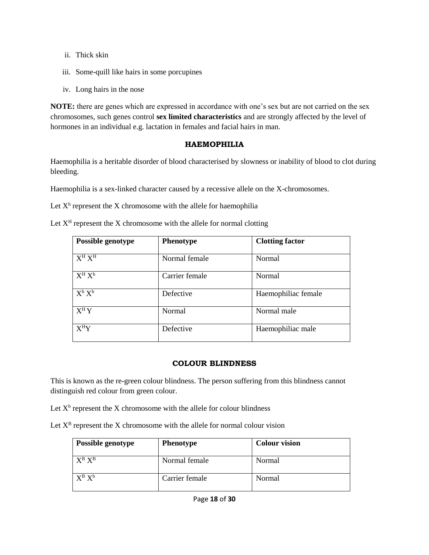- ii. Thick skin
- iii. Some-quill like hairs in some porcupines
- iv. Long hairs in the nose

**NOTE:** there are genes which are expressed in accordance with one's sex but are not carried on the sex chromosomes, such genes control **sex limited characteristics** and are strongly affected by the level of hormones in an individual e.g. lactation in females and facial hairs in man.

#### **HAEMOPHILIA**

Haemophilia is a heritable disorder of blood characterised by slowness or inability of blood to clot during bleeding.

Haemophilia is a sex-linked character caused by a recessive allele on the X-chromosomes.

Let  $X<sup>h</sup>$  represent the X chromosome with the allele for haemophilia

Let  $X<sup>H</sup>$  represent the X chromosome with the allele for normal clotting

| Possible genotype    | <b>Phenotype</b> | <b>Clotting factor</b> |
|----------------------|------------------|------------------------|
| $X^H X^H$            | Normal female    | Normal                 |
| $\overline{X^H} X^h$ | Carrier female   | Normal                 |
| $X^h X^h$            | Defective        | Haemophiliac female    |
| $X^H Y$              | Normal           | Normal male            |
| $X^HY$               | Defective        | Haemophiliac male      |

#### **COLOUR BLINDNESS**

This is known as the re-green colour blindness. The person suffering from this blindness cannot distinguish red colour from green colour.

Let  $X^b$  represent the X chromosome with the allele for colour blindness

Let  $X^B$  represent the X chromosome with the allele for normal colour vision

| <b>Possible genotype</b> | <b>Phenotype</b> | <b>Colour vision</b> |
|--------------------------|------------------|----------------------|
| $X^B X^B$                | Normal female    | Normal               |
| $X^B X^b$                | Carrier female   | Normal               |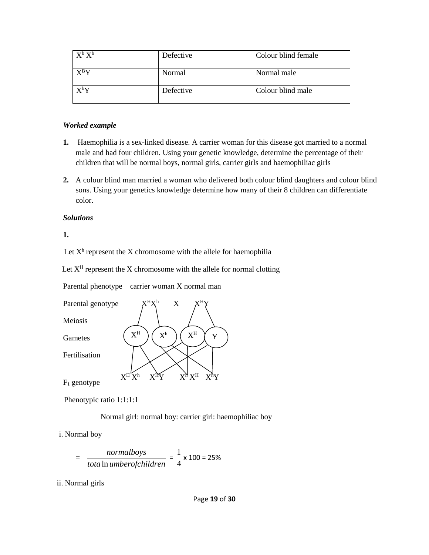| $X^b X^b$                           | Defective | Colour blind female |
|-------------------------------------|-----------|---------------------|
| $\mathbf{Y}^{\text{B}}\mathbf{V}$   | Normal    | Normal male         |
| $\mathrm{X}^{\mathrm{b}}\mathrm{Y}$ | Defective | Colour blind male   |

#### *Worked example*

- **1.** Haemophilia is a sex-linked disease. A carrier woman for this disease got married to a normal male and had four children. Using your genetic knowledge, determine the percentage of their children that will be normal boys, normal girls, carrier girls and haemophiliac girls
- **2.** A colour blind man married a woman who delivered both colour blind daughters and colour blind sons. Using your genetics knowledge determine how many of their 8 children can differentiate color.

#### *Solutions*

**1.**

Let  $X<sup>h</sup>$  represent the X chromosome with the allele for haemophilia

Let  $X<sup>H</sup>$  represent the X chromosome with the allele for normal clotting

Parental phenotype carrier woman X normal man



Phenotypic ratio 1:1:1:1

Normal girl: normal boy: carrier girl: haemophiliac boy

i. Normal boy

$$
= \frac{normal boys}{total \text{ } number of children} = \frac{1}{4} \times 100 = 25\%
$$

ii. Normal girls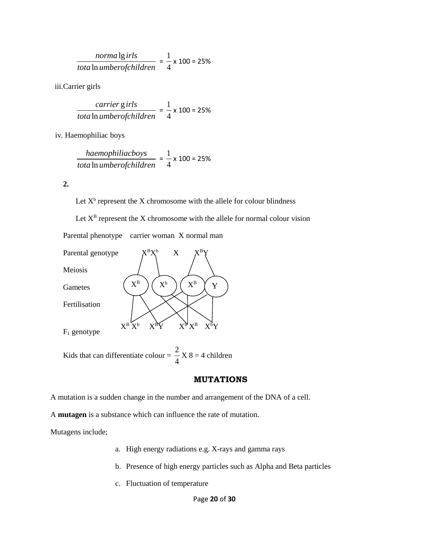$$
\frac{normalg irls}{total \ln umber of children} = \frac{1}{4} \times 100 = 25\%
$$

iii.Carrier girls

$$
\frac{carrier \text{ girls}}{total \text{ n} \text{ umberofchild} \cdot \text{ r}} = \frac{1}{4} \times 100 = 25\%
$$

iv. Haemophiliac boys

$$
\frac{haemophiliacobss}{total \ln umberofchildren} = \frac{1}{4} \times 100 = 25\%
$$

**2.**

Let  $X^b$  represent the X chromosome with the allele for colour blindness

Let  $X^B$  represent the X chromosome with the allele for normal colour vision

Parental phenotype carrier woman X normal man



Kids that can differentiate colour =  $\frac{2}{7}$ 4  $X 8 = 4$  children

#### **MUTATIONS**

A mutation is a sudden change in the number and arrangement of the DNA of a cell.

A **mutagen** is a substance which can influence the rate of mutation.

Mutagens include;

- a. High energy radiations e.g. X-rays and gamma rays
- b. Presence of high energy particles such as Alpha and Beta particles
- c. Fluctuation of temperature

Page **20** of **30**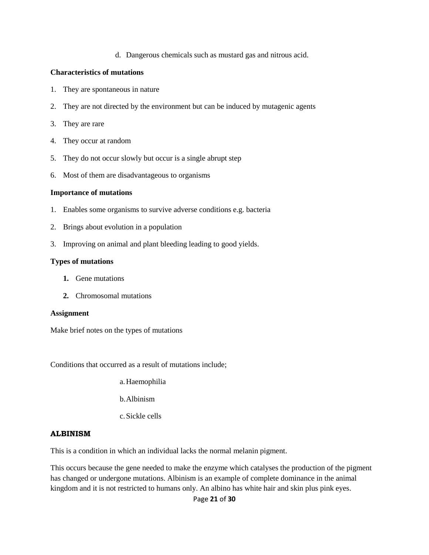d. Dangerous chemicals such as mustard gas and nitrous acid.

#### **Characteristics of mutations**

- 1. They are spontaneous in nature
- 2. They are not directed by the environment but can be induced by mutagenic agents
- 3. They are rare
- 4. They occur at random
- 5. They do not occur slowly but occur is a single abrupt step
- 6. Most of them are disadvantageous to organisms

#### **Importance of mutations**

- 1. Enables some organisms to survive adverse conditions e.g. bacteria
- 2. Brings about evolution in a population
- 3. Improving on animal and plant bleeding leading to good yields.

#### **Types of mutations**

- **1.** Gene mutations
- **2.** Chromosomal mutations

#### **Assignment**

Make brief notes on the types of mutations

Conditions that occurred as a result of mutations include;

- a.Haemophilia
- b.Albinism
- c.Sickle cells

#### **ALBINISM**

This is a condition in which an individual lacks the normal melanin pigment.

This occurs because the gene needed to make the enzyme which catalyses the production of the pigment has changed or undergone mutations. Albinism is an example of complete dominance in the animal kingdom and it is not restricted to humans only. An albino has white hair and skin plus pink eyes.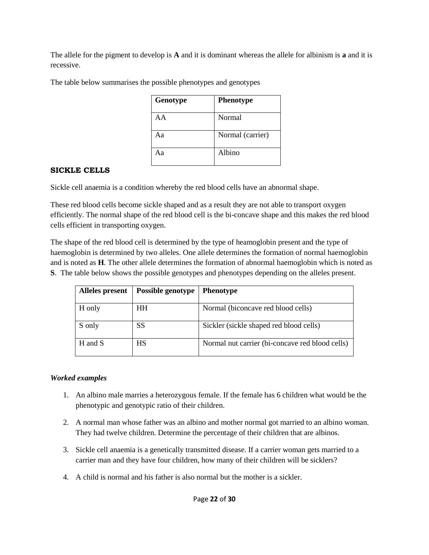The allele for the pigment to develop is **A** and it is dominant whereas the allele for albinism is **a** and it is recessive.

| The table below summarises the possible phenotypes and genotypes |  |  |
|------------------------------------------------------------------|--|--|
|                                                                  |  |  |

| Genotype | <b>Phenotype</b> |
|----------|------------------|
| AА       | Normal           |
| Аа       | Normal (carrier) |
| Aа       | Albino           |

#### **SICKLE CELLS**

Sickle cell anaemia is a condition whereby the red blood cells have an abnormal shape.

These red blood cells become sickle shaped and as a result they are not able to transport oxygen efficiently. The normal shape of the red blood cell is the bi-concave shape and this makes the red blood cells efficient in transporting oxygen.

The shape of the red blood cell is determined by the type of heamoglobin present and the type of haemoglobin is determined by two alleles. One allele determines the formation of normal haemoglobin and is noted as **H**. The other allele determines the formation of abnormal haemoglobin which is noted as **S**. The table below shows the possible genotypes and phenotypes depending on the alleles present.

| Alleles present | Possible genotype | <b>Phenotype</b>                                |
|-----------------|-------------------|-------------------------------------------------|
| H only          | HН                | Normal (biconcave red blood cells)              |
| S only          | SS                | Sickler (sickle shaped red blood cells)         |
| H and S         | <b>HS</b>         | Normal nut carrier (bi-concave red blood cells) |

#### *Worked examples*

- 1. An albino male marries a heterozygous female. If the female has 6 children what would be the phenotypic and genotypic ratio of their children.
- 2. A normal man whose father was an albino and mother normal got married to an albino woman. They had twelve children. Determine the percentage of their children that are albinos.
- 3. Sickle cell anaemia is a genetically transmitted disease. If a carrier woman gets married to a carrier man and they have four children, how many of their children will be sicklers?
- 4. A child is normal and his father is also normal but the mother is a sickler.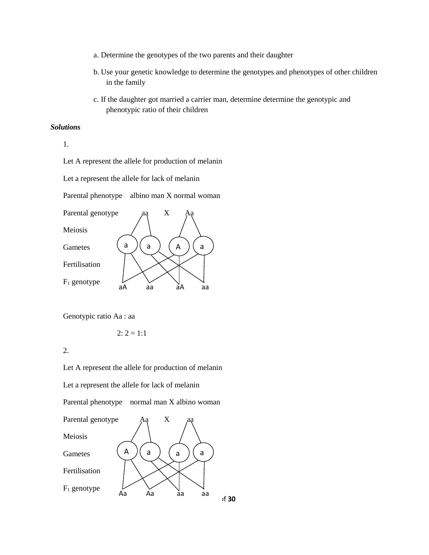- a. Determine the genotypes of the two parents and their daughter
- b. Use your genetic knowledge to determine the genotypes and phenotypes of other children in the family
- c. If the daughter got married a carrier man, determine determine the genotypic and phenotypic ratio of their children

#### *Solutions*

1.

Let A represent the allele for production of melanin

Let a represent the allele for lack of melanin

Parental phenotype albino man X normal woman



Genotypic ratio Aa : aa

$$
2: 2=1:1
$$

2.

Let A represent the allele for production of melanin Let a represent the allele for lack of melanin Parental phenotype normal man X albino woman  $\text{Parental genotype}$   $\text{Aq}$   $\text{X}$ Meiosis

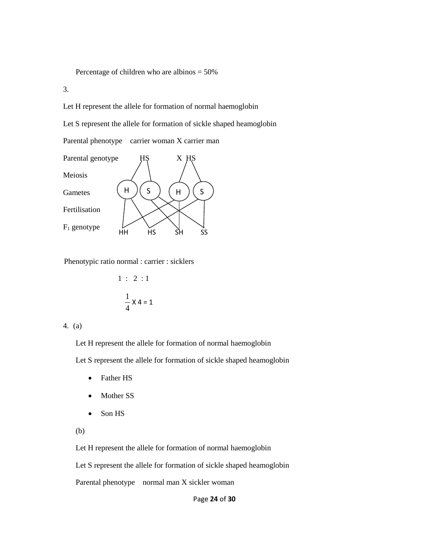Percentage of children who are albinos = 50%

3.

Let H represent the allele for formation of normal haemoglobin

Let S represent the allele for formation of sickle shaped heamoglobin

Parental phenotype carrier woman X carrier man



Phenotypic ratio normal : carrier : sicklers

$$
1: 2:1
$$

$$
\frac{1}{4} \times 4 = 1
$$

#### 4. (a)

Let H represent the allele for formation of normal haemoglobin

Let S represent the allele for formation of sickle shaped heamoglobin

- Father HS
- Mother SS
- Son HS
- (b)

Let H represent the allele for formation of normal haemoglobin

Let S represent the allele for formation of sickle shaped heamoglobin

Parental phenotype normal man X sickler woman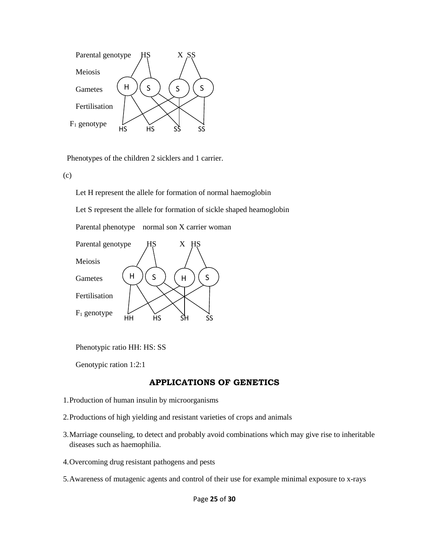

Phenotypes of the children 2 sicklers and 1 carrier.

(c)

Let H represent the allele for formation of normal haemoglobin

Let S represent the allele for formation of sickle shaped heamoglobin

Parental phenotype normal son X carrier woman



Phenotypic ratio HH: HS: SS

Genotypic ration 1:2:1

#### **APPLICATIONS OF GENETICS**

- 1.Production of human insulin by microorganisms
- 2.Productions of high yielding and resistant varieties of crops and animals
- 3.Marriage counseling, to detect and probably avoid combinations which may give rise to inheritable diseases such as haemophilia.
- 4.Overcoming drug resistant pathogens and pests
- 5.Awareness of mutagenic agents and control of their use for example minimal exposure to x-rays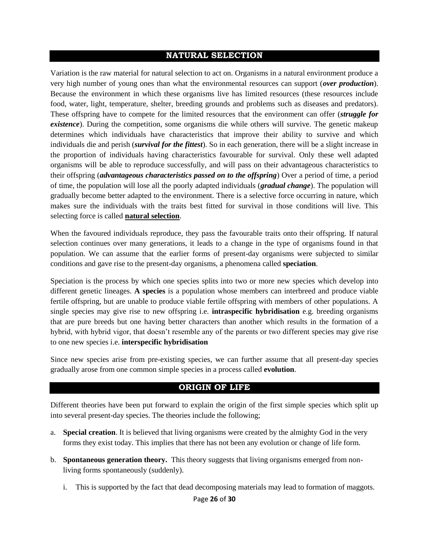#### **NATURAL SELECTION**

Variation is the raw material for natural selection to act on. Organisms in a natural environment produce a very high number of young ones than what the environmental resources can support (*over production*). Because the environment in which these organisms live has limited resources (these resources include food, water, light, temperature, shelter, breeding grounds and problems such as diseases and predators). These offspring have to compete for the limited resources that the environment can offer (*struggle for existence*). During the competition, some organisms die while others will survive. The genetic makeup determines which individuals have characteristics that improve their ability to survive and which individuals die and perish (*survival for the fittest*). So in each generation, there will be a slight increase in the proportion of individuals having characteristics favourable for survival. Only these well adapted organisms will be able to reproduce successfully, and will pass on their advantageous characteristics to their offspring (*advantageous characteristics passed on to the offspring*) Over a period of time, a period of time, the population will lose all the poorly adapted individuals (*gradual change*). The population will gradually become better adapted to the environment. There is a selective force occurring in nature, which makes sure the individuals with the traits best fitted for survival in those conditions will live. This selecting force is called **natural selection**.

When the favoured individuals reproduce, they pass the favourable traits onto their offspring. If natural selection continues over many generations, it leads to a change in the type of organisms found in that population. We can assume that the earlier forms of present-day organisms were subjected to similar conditions and gave rise to the present-day organisms, a phenomena called **speciation**.

Speciation is the process by which one species splits into two or more new species which develop into different genetic lineages. **A species** is a population whose members can interbreed and produce viable fertile offspring, but are unable to produce viable fertile offspring with members of other populations. A single species may give rise to new offspring i.e. **intraspecific hybridisation** e.g. breeding organisms that are pure breeds but one having better characters than another which results in the formation of a hybrid, with hybrid vigor, that doesn't resemble any of the parents or two different species may give rise to one new species i.e. **interspecific hybridisation**

Since new species arise from pre-existing species, we can further assume that all present-day species gradually arose from one common simple species in a process called **evolution**.

#### **ORIGIN OF LIFE**

Different theories have been put forward to explain the origin of the first simple species which split up into several present-day species. The theories include the following;

- a. **Special creation**. It is believed that living organisms were created by the almighty God in the very forms they exist today. This implies that there has not been any evolution or change of life form.
- b. **Spontaneous generation theory.** This theory suggests that living organisms emerged from nonliving forms spontaneously (suddenly).
	- i. This is supported by the fact that dead decomposing materials may lead to formation of maggots.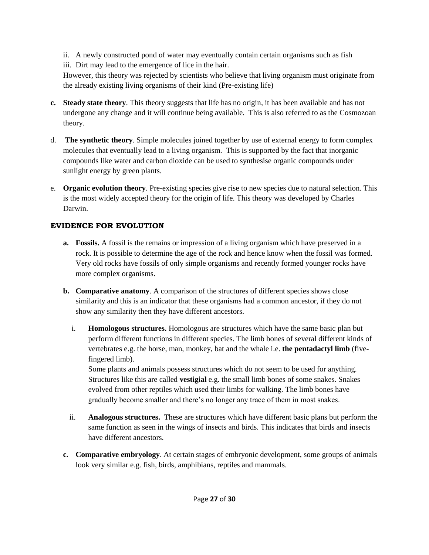- ii. A newly constructed pond of water may eventually contain certain organisms such as fish
- iii. Dirt may lead to the emergence of lice in the hair.

However, this theory was rejected by scientists who believe that living organism must originate from the already existing living organisms of their kind (Pre-existing life)

- **c. Steady state theory**. This theory suggests that life has no origin, it has been available and has not undergone any change and it will continue being available. This is also referred to as the Cosmozoan theory.
- d. **The synthetic theory**. Simple molecules joined together by use of external energy to form complex molecules that eventually lead to a living organism. This is supported by the fact that inorganic compounds like water and carbon dioxide can be used to synthesise organic compounds under sunlight energy by green plants.
- e. **Organic evolution theory**. Pre-existing species give rise to new species due to natural selection. This is the most widely accepted theory for the origin of life. This theory was developed by Charles Darwin.

### **EVIDENCE FOR EVOLUTION**

- **a. Fossils.** A fossil is the remains or impression of a living organism which have preserved in a rock. It is possible to determine the age of the rock and hence know when the fossil was formed. Very old rocks have fossils of only simple organisms and recently formed younger rocks have more complex organisms.
- **b. Comparative anatomy**. A comparison of the structures of different species shows close similarity and this is an indicator that these organisms had a common ancestor, if they do not show any similarity then they have different ancestors.
	- i. **Homologous structures.** Homologous are structures which have the same basic plan but perform different functions in different species. The limb bones of several different kinds of vertebrates e.g. the horse, man, monkey, bat and the whale i.e. **the pentadactyl limb** (fivefingered limb).

Some plants and animals possess structures which do not seem to be used for anything. Structures like this are called **vestigial** e.g. the small limb bones of some snakes. Snakes evolved from other reptiles which used their limbs for walking. The limb bones have gradually become smaller and there's no longer any trace of them in most snakes.

- ii. **Analogous structures.** These are structures which have different basic plans but perform the same function as seen in the wings of insects and birds. This indicates that birds and insects have different ancestors.
- **c. Comparative embryology**. At certain stages of embryonic development, some groups of animals look very similar e.g. fish, birds, amphibians, reptiles and mammals.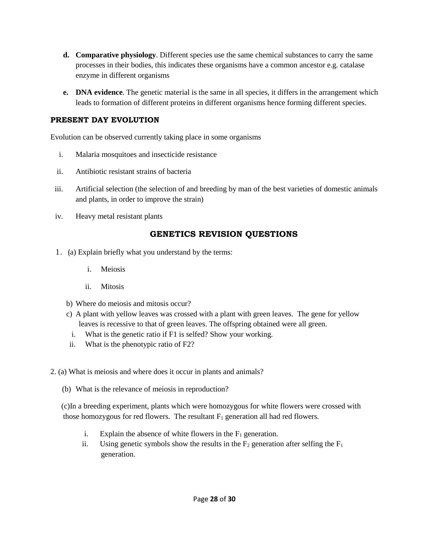- **d. Comparative physiology**. Different species use the same chemical substances to carry the same processes in their bodies, this indicates these organisms have a common ancestor e.g. catalase enzyme in different organisms
- **e. DNA evidence**. The genetic material is the same in all species, it differs in the arrangement which leads to formation of different proteins in different organisms hence forming different species.

#### **PRESENT DAY EVOLUTION**

Evolution can be observed currently taking place in some organisms

- i. Malaria mosquitoes and insecticide resistance
- ii. Antibiotic resistant strains of bacteria
- iii. Artificial selection (the selection of and breeding by man of the best varieties of domestic animals and plants, in order to improve the strain)
- iv. Heavy metal resistant plants

### **GENETICS REVISION QUESTIONS**

- 1. (a) Explain briefly what you understand by the terms:
	- i. Meiosis
	- ii. Mitosis
	- b) Where do meiosis and mitosis occur?
	- c) A plant with yellow leaves was crossed with a plant with green leaves. The gene for yellow leaves is recessive to that of green leaves. The offspring obtained were all green.
	- i. What is the genetic ratio if F1 is selfed? Show your working.
	- ii. What is the phenotypic ratio of F2?
- 2. (a) What is meiosis and where does it occur in plants and animals?
	- (b) What is the relevance of meiosis in reproduction?

 (c)In a breeding experiment, plants which were homozygous for white flowers were crossed with those homozygous for red flowers. The resultant  $F_1$  generation all had red flowers.

- i. Explain the absence of white flowers in the  $F_1$  generation.
- ii. Using genetic symbols show the results in the  $F_2$  generation after selfing the  $F_1$ generation.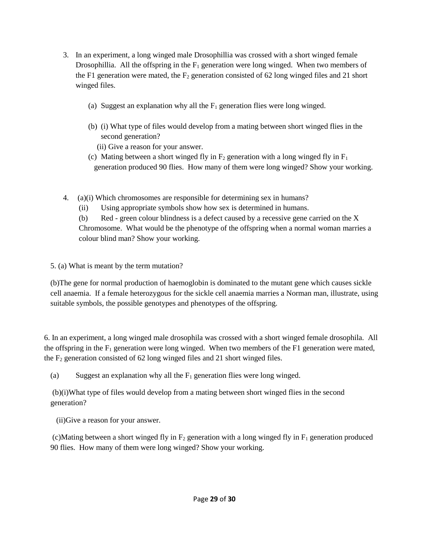- 3. In an experiment, a long winged male Drosophillia was crossed with a short winged female Drosophillia. All the offspring in the  $F_1$  generation were long winged. When two members of the F1 generation were mated, the  $F_2$  generation consisted of 62 long winged files and 21 short winged files.
	- (a) Suggest an explanation why all the  $F_1$  generation flies were long winged.
	- (b) (i) What type of files would develop from a mating between short winged flies in the second generation?
		- (ii) Give a reason for your answer.
	- (c) Mating between a short winged fly in  $F_2$  generation with a long winged fly in  $F_1$ generation produced 90 flies. How many of them were long winged? Show your working.
- 4. (a)(i) Which chromosomes are responsible for determining sex in humans?
	- (ii) Using appropriate symbols show how sex is determined in humans.

(b) Red - green colour blindness is a defect caused by a recessive gene carried on the X Chromosome. What would be the phenotype of the offspring when a normal woman marries a colour blind man? Show your working.

5. (a) What is meant by the term mutation?

(b)The gene for normal production of haemoglobin is dominated to the mutant gene which causes sickle cell anaemia. If a female heterozygous for the sickle cell anaemia marries a Norman man, illustrate, using suitable symbols, the possible genotypes and phenotypes of the offspring.

6. In an experiment, a long winged male drosophila was crossed with a short winged female drosophila. All the offspring in the  $F_1$  generation were long winged. When two members of the F1 generation were mated, the  $F_2$  generation consisted of 62 long winged files and 21 short winged files.

(a) Suggest an explanation why all the  $F_1$  generation flies were long winged.

(b)(i)What type of files would develop from a mating between short winged flies in the second generation?

(ii)Give a reason for your answer.

(c)Mating between a short winged fly in  $F_2$  generation with a long winged fly in  $F_1$  generation produced 90 flies. How many of them were long winged? Show your working.